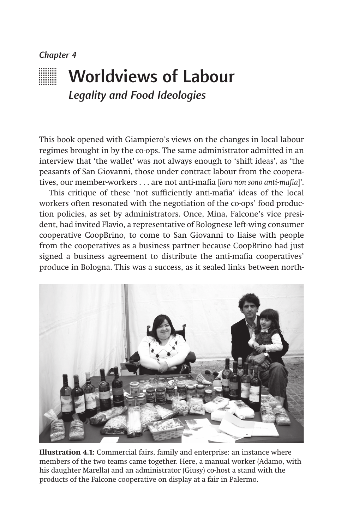### *Chapter 4*



This book opened with Giampiero's views on the changes in local labour regimes brought in by the co-ops. The same administrator admitted in an interview that 'the wallet' was not always enough to 'shift ideas', as 'the peasants of San Giovanni, those under contract labour from the cooperatives, our member-workers . . . are not anti-mafia [*loro non sono anti-mafia*]'.

This critique of these 'not sufficiently anti-mafia' ideas of the local workers often resonated with the negotiation of the co-ops' food production policies, as set by administrators. Once, Mina, Falcone's vice president, had invited Flavio, a representative of Bolognese left-wing consumer cooperative CoopBrino, to come to San Giovanni to liaise with people from the cooperatives as a business partner because CoopBrino had just signed a business agreement to distribute the anti-mafia cooperatives' produce in Bologna. This was a success, as it sealed links between north-



**Illustration 4.1:** Commercial fairs, family and enterprise: an instance where members of the two teams came together. Here, a manual worker (Adamo, with his daughter Marella) and an administrator (Giusy) co-host a stand with the products of the Falcone cooperative on display at a fair in Palermo.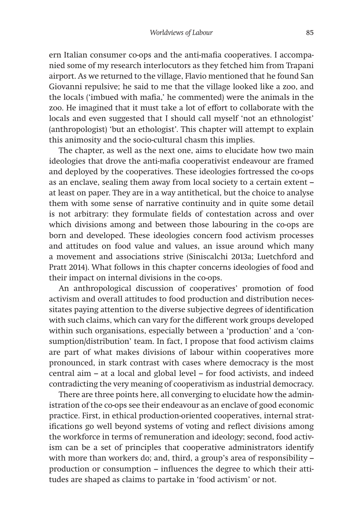ern Italian consumer co-ops and the anti-mafia cooperatives. I accompanied some of my research interlocutors as they fetched him from Trapani airport. As we returned to the village, Flavio mentioned that he found San Giovanni repulsive; he said to me that the village looked like a zoo, and the locals ('imbued with mafia,' he commented) were the animals in the zoo. He imagined that it must take a lot of effort to collaborate with the locals and even suggested that I should call myself 'not an ethnologist' (anthropologist) 'but an ethologist'. This chapter will attempt to explain this animosity and the socio-cultural chasm this implies.

The chapter, as well as the next one, aims to elucidate how two main ideologies that drove the anti-mafia cooperativist endeavour are framed and deployed by the cooperatives. These ideologies fortressed the co-ops as an enclave, sealing them away from local society to a certain extent – at least on paper. They are in a way antithetical, but the choice to analyse them with some sense of narrative continuity and in quite some detail is not arbitrary: they formulate fields of contestation across and over which divisions among and between those labouring in the co-ops are born and developed. These ideologies concern food activism processes and attitudes on food value and values, an issue around which many a movement and associations strive (Siniscalchi 2013a; Luetchford and Pratt 2014). What follows in this chapter concerns ideologies of food and their impact on internal divisions in the co-ops.

An anthropological discussion of cooperatives' promotion of food activism and overall attitudes to food production and distribution necessitates paying attention to the diverse subjective degrees of identification with such claims, which can vary for the different work groups developed within such organisations, especially between a 'production' and a 'consumption/distribution' team. In fact, I propose that food activism claims are part of what makes divisions of labour within cooperatives more pronounced, in stark contrast with cases where democracy is the most central aim – at a local and global level – for food activists, and indeed contradicting the very meaning of cooperativism as industrial democracy.

There are three points here, all converging to elucidate how the administration of the co-ops see their endeavour as an enclave of good economic practice. First, in ethical production-oriented cooperatives, internal stratifications go well beyond systems of voting and reflect divisions among the workforce in terms of remuneration and ideology; second, food activism can be a set of principles that cooperative administrators identify with more than workers do; and, third, a group's area of responsibility – production or consumption – influences the degree to which their attitudes are shaped as claims to partake in 'food activism' or not.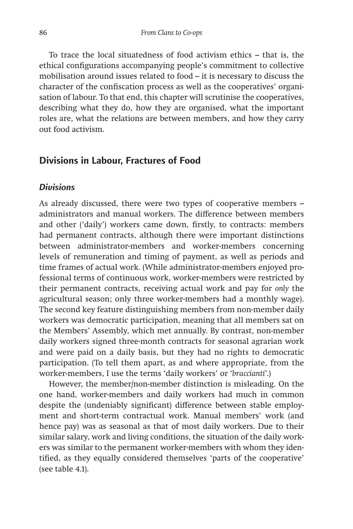To trace the local situatedness of food activism ethics – that is, the ethical configurations accompanying people's commitment to collective mobilisation around issues related to food – it is necessary to discuss the character of the confiscation process as well as the cooperatives' organisation of labour. To that end, this chapter will scrutinise the cooperatives, describing what they do, how they are organised, what the important roles are, what the relations are between members, and how they carry out food activism.

# **Divisions in Labour, Fractures of Food**

#### *Divisions*

As already discussed, there were two types of cooperative members – administrators and manual workers. The difference between members and other ('daily') workers came down, firstly, to contracts: members had permanent contracts, although there were important distinctions between administrator-members and worker-members concerning levels of remuneration and timing of payment, as well as periods and time frames of actual work. (While administrator-members enjoyed professional terms of continuous work, worker-members were restricted by their permanent contracts, receiving actual work and pay for *only* the agricultural season; only three worker-members had a monthly wage). The second key feature distinguishing members from non-member daily workers was democratic participation, meaning that all members sat on the Members' Assembly, which met annually. By contrast, non-member daily workers signed three-month contracts for seasonal agrarian work and were paid on a daily basis, but they had no rights to democratic participation. (To tell them apart, as and where appropriate, from the worker-members, I use the terms 'daily workers' or '*braccianti*'.)

However, the member/non-member distinction is misleading. On the one hand, worker-members and daily workers had much in common despite the (undeniably significant) difference between stable employment and short-term contractual work. Manual members' work (and hence pay) was as seasonal as that of most daily workers. Due to their similar salary, work and living conditions, the situation of the daily workers was similar to the permanent worker-members with whom they identified, as they equally considered themselves 'parts of the cooperative' (see table 4.1).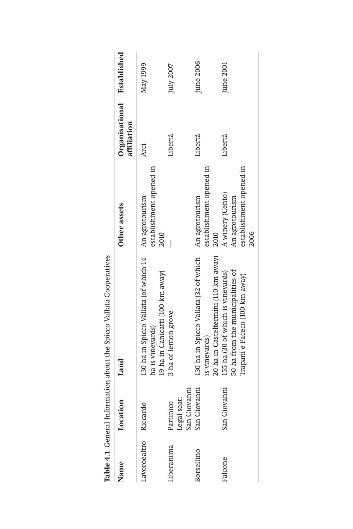| Name         | tion<br>Locat                            | Land                                                                                                    | Other assets                                                          | Organisational<br>affiliation | Established |
|--------------|------------------------------------------|---------------------------------------------------------------------------------------------------------|-----------------------------------------------------------------------|-------------------------------|-------------|
| Lavoroealtro | Riccardo                                 | 130 ha in Spicco Vallata (of which 14<br>19 ha in Canicattí (100 km away)<br>ha is vineyards)           | establishment opened in<br>An agrotourism<br>2010                     | Arci                          | May 1999    |
| Liberanima   | Partinico<br>Legal seat:<br>San Giovanni | 3 ha of lemon grove                                                                                     |                                                                       | Libertà                       | July 2007   |
| Borsellino   | rituracia<br>$\sin($                     | 20 ha in Casteltermini (110 km away)<br>130 ha in Spicco Vallata (32 of which<br>is vineyards)          | establishment opened in<br>An agrotourism<br>2010                     | Libertà                       | June 2006   |
| Falcone      | iovanni<br>San(                          | 50 ha from the municipalities of<br>155 ha (30 of which is vineyards)<br>Trapani e Paceco (100 km away) | establishment opened in<br>A winery (Cento)<br>An agrotourism<br>2006 | Libertà                       | June 2001   |
|              |                                          |                                                                                                         |                                                                       |                               |             |

| $\sim$ $\sim$ $\sim$ $\sim$ $+$ $-$<br>Í                                                                          |
|-------------------------------------------------------------------------------------------------------------------|
| $\frac{1}{2}$<br>֦֦֦֦֧֧֧֧֧֧֧֧֧֛֧֧֛֪֪֦֧֧֧֧֛֪֪֛֪֪֛֪֛֪֛֪֛֪֛֪֛֪֛֚֚֚֚֚֚֡֝֝֝֬֝֬֝֓֕֓֝֬֝֓֝֓֝֬֝֬֝֓֝֓֝֬֝֓֝֓֝֬֝֓֝֬֝֬֝֬֝<br>l |
| į<br>Ċ                                                                                                            |
| ;<br>;                                                                                                            |
| $+$ ompation about the Cuica i<br>i                                                                               |
| ı                                                                                                                 |
| ;<br>I<br>I<br>Ç                                                                                                  |
| $\mathbf{H}$<br>į<br>İ                                                                                            |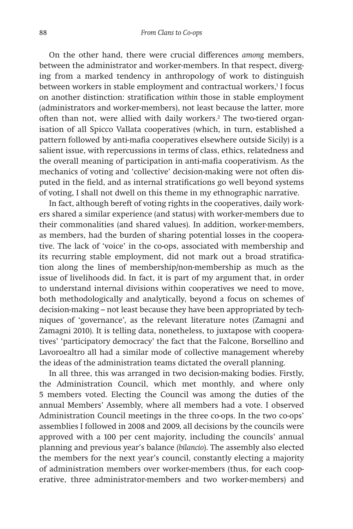On the other hand, there were crucial differences *among* members, between the administrator and worker-members. In that respect, diverging from a marked tendency in anthropology of work to distinguish between workers in stable employment and contractual workers,<sup>1</sup> I focus on another distinction: stratification *within* those in stable employment (administrators and worker-members), not least because the latter, more often than not, were allied with daily workers.<sup>2</sup> The two-tiered organisation of all Spicco Vallata cooperatives (which, in turn, established a pattern followed by anti-mafia cooperatives elsewhere outside Sicily) is a salient issue, with repercussions in terms of class, ethics, relatedness and the overall meaning of participation in anti-mafia cooperativism. As the mechanics of voting and 'collective' decision-making were not often disputed in the field, and as internal stratifications go well beyond systems of voting, I shall not dwell on this theme in my ethnographic narrative.

In fact, although bereft of voting rights in the cooperatives, daily workers shared a similar experience (and status) with worker-members due to their commonalities (and shared values). In addition, worker-members, as members, had the burden of sharing potential losses in the cooperative. The lack of 'voice' in the co-ops, associated with membership and its recurring stable employment, did not mark out a broad stratification along the lines of membership/non-membership as much as the issue of livelihoods did. In fact, it is part of my argument that, in order to understand internal divisions within cooperatives we need to move, both methodologically and analytically, beyond a focus on schemes of decision-making – not least because they have been appropriated by techniques of 'governance', as the relevant literature notes (Zamagni and Zamagni 2010). It is telling data, nonetheless, to juxtapose with cooperatives' 'participatory democracy' the fact that the Falcone, Borsellino and Lavoroealtro all had a similar mode of collective management whereby the ideas of the administration teams dictated the overall planning.

In all three, this was arranged in two decision-making bodies. Firstly, the Administration Council, which met monthly, and where only 5 members voted. Electing the Council was among the duties of the annual Members' Assembly, where all members had a vote. I observed Administration Council meetings in the three co-ops. In the two co-ops' assemblies I followed in 2008 and 2009, all decisions by the councils were approved with a 100 per cent majority, including the councils' annual planning and previous year's balance (*bilancio*). The assembly also elected the members for the next year's council, constantly electing a majority of administration members over worker-members (thus, for each cooperative, three administrator-members and two worker-members) and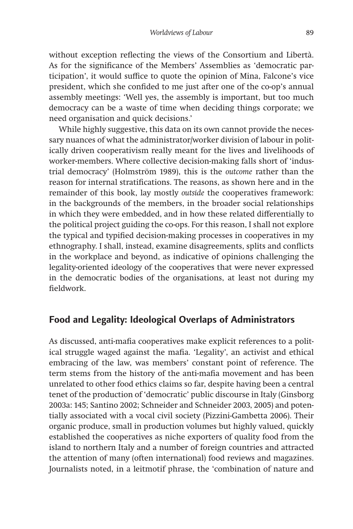without exception reflecting the views of the Consortium and Libertà. As for the significance of the Members' Assemblies as 'democratic participation', it would suffice to quote the opinion of Mina, Falcone's vice president, which she confided to me just after one of the co-op's annual assembly meetings: 'Well yes, the assembly is important, but too much democracy can be a waste of time when deciding things corporate; we need organisation and quick decisions.'

While highly suggestive, this data on its own cannot provide the necessary nuances of what the administrator/worker division of labour in politically driven cooperativism really meant for the lives and livelihoods of worker-members. Where collective decision-making falls short of 'industrial democracy' (Holmström 1989), this is the *outcome* rather than the reason for internal stratifications. The reasons, as shown here and in the remainder of this book, lay mostly *outside* the cooperatives framework: in the backgrounds of the members, in the broader social relationships in which they were embedded, and in how these related differentially to the political project guiding the co-ops. For this reason, I shall not explore the typical and typified decision-making processes in cooperatives in my ethnography. I shall, instead, examine disagreements, splits and conflicts in the workplace and beyond, as indicative of opinions challenging the legality-oriented ideology of the cooperatives that were never expressed in the democratic bodies of the organisations, at least not during my fieldwork.

## **Food and Legality: Ideological Overlaps of Administrators**

As discussed, anti-mafia cooperatives make explicit references to a political struggle waged against the mafia. 'Legality', an activist and ethical embracing of the law, was members' constant point of reference. The term stems from the history of the anti-mafia movement and has been unrelated to other food ethics claims so far, despite having been a central tenet of the production of 'democratic' public discourse in Italy (Ginsborg 2003a: 145; Santino 2002; Schneider and Schneider 2003, 2005) and potentially associated with a vocal civil society (Pizzini-Gambetta 2006). Their organic produce, small in production volumes but highly valued, quickly established the cooperatives as niche exporters of quality food from the island to northern Italy and a number of foreign countries and attracted the attention of many (often international) food reviews and magazines. Journalists noted, in a leitmotif phrase, the 'combination of nature and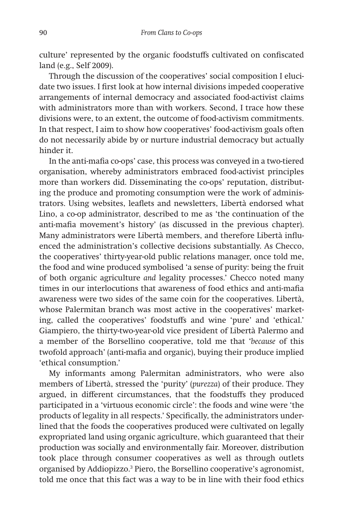culture' represented by the organic foodstuffs cultivated on confiscated land (e.g., Self 2009).

Through the discussion of the cooperatives' social composition I elucidate two issues. I first look at how internal divisions impeded cooperative arrangements of internal democracy and associated food-activist claims with administrators more than with workers. Second, I trace how these divisions were, to an extent, the outcome of food-activism commitments. In that respect, I aim to show how cooperatives' food-activism goals often do not necessarily abide by or nurture industrial democracy but actually hinder it.

In the anti-mafia co-ops' case, this process was conveyed in a two-tiered organisation, whereby administrators embraced food-activist principles more than workers did. Disseminating the co-ops' reputation, distributing the produce and promoting consumption were the work of administrators. Using websites, leaflets and newsletters, Libertà endorsed what Lino, a co-op administrator, described to me as 'the continuation of the anti-mafia movement's history' (as discussed in the previous chapter). Many administrators were Libertà members, and therefore Libertà influenced the administration's collective decisions substantially. As Checco, the cooperatives' thirty-year-old public relations manager, once told me, the food and wine produced symbolised 'a sense of purity: being the fruit of both organic agriculture *and* legality processes.' Checco noted many times in our interlocutions that awareness of food ethics and anti-mafia awareness were two sides of the same coin for the cooperatives. Libertà, whose Palermitan branch was most active in the cooperatives' marketing, called the cooperatives' foodstuffs and wine 'pure' and 'ethical.' Giampiero, the thirty-two-year-old vice president of Libertà Palermo and a member of the Borsellino cooperative, told me that '*because* of this twofold approach' (anti-mafia and organic), buying their produce implied 'ethical consumption.'

My informants among Palermitan administrators, who were also members of Libertà, stressed the 'purity' (*purezza*) of their produce. They argued, in different circumstances, that the foodstuffs they produced participated in a 'virtuous economic circle': the foods and wine were 'the products of legality in all respects.' Specifically, the administrators underlined that the foods the cooperatives produced were cultivated on legally expropriated land using organic agriculture, which guaranteed that their production was socially and environmentally fair. Moreover, distribution took place through consumer cooperatives as well as through outlets organised by Addiopizzo.<sup>3</sup> Piero, the Borsellino cooperative's agronomist, told me once that this fact was a way to be in line with their food ethics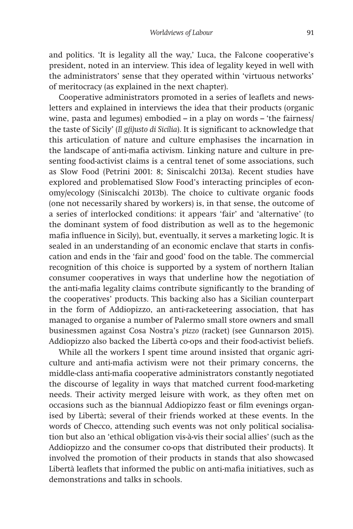and politics. 'It is legality all the way,' Luca, the Falcone cooperative's president, noted in an interview. This idea of legality keyed in well with the administrators' sense that they operated within 'virtuous networks' of meritocracy (as explained in the next chapter).

Cooperative administrators promoted in a series of leaflets and newsletters and explained in interviews the idea that their products (organic wine, pasta and legumes) embodied – in a play on words – 'the fairness/ the taste of Sicily' (*Il g(i)usto di Sicilia*). It is significant to acknowledge that this articulation of nature and culture emphasises the incarnation in the landscape of anti-mafia activism. Linking nature and culture in presenting food-activist claims is a central tenet of some associations, such as Slow Food (Petrini 2001: 8; Siniscalchi 2013a). Recent studies have explored and problematised Slow Food's interacting principles of economy/ecology (Siniscalchi 2013b). The choice to cultivate organic foods (one not necessarily shared by workers) is, in that sense, the outcome of a series of interlocked conditions: it appears 'fair' and 'alternative' (to the dominant system of food distribution as well as to the hegemonic mafia influence in Sicily), but, eventually, it serves a marketing logic. It is sealed in an understanding of an economic enclave that starts in confiscation and ends in the 'fair and good' food on the table. The commercial recognition of this choice is supported by a system of northern Italian consumer cooperatives in ways that underline how the negotiation of the anti-mafia legality claims contribute significantly to the branding of the cooperatives' products. This backing also has a Sicilian counterpart in the form of Addiopizzo, an anti-racketeering association, that has managed to organise a number of Palermo small store owners and small businessmen against Cosa Nostra's *pizzo* (racket) (see Gunnarson 2015). Addiopizzo also backed the Libertà co-ops and their food-activist beliefs.

While all the workers I spent time around insisted that organic agriculture and anti-mafia activism were not their primary concerns, the middle-class anti-mafia cooperative administrators constantly negotiated the discourse of legality in ways that matched current food-marketing needs. Their activity merged leisure with work, as they often met on occasions such as the biannual Addiopizzo feast or film evenings organised by Libertà; several of their friends worked at these events. In the words of Checco, attending such events was not only political socialisation but also an 'ethical obligation vis-à-vis their social allies' (such as the Addiopizzo and the consumer co-ops that distributed their products). It involved the promotion of their products in stands that also showcased Libertà leaflets that informed the public on anti-mafia initiatives, such as demonstrations and talks in schools.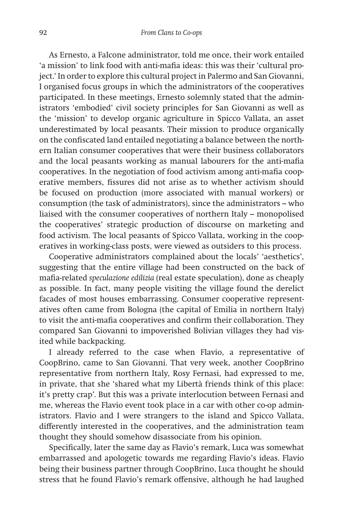As Ernesto, a Falcone administrator, told me once, their work entailed 'a mission' to link food with anti-mafia ideas: this was their 'cultural project.' In order to explore this cultural project in Palermo and San Giovanni, I organised focus groups in which the administrators of the cooperatives participated. In these meetings, Ernesto solemnly stated that the administrators 'embodied' civil society principles for San Giovanni as well as the 'mission' to develop organic agriculture in Spicco Vallata, an asset underestimated by local peasants. Their mission to produce organically on the confiscated land entailed negotiating a balance between the northern Italian consumer cooperatives that were their business collaborators and the local peasants working as manual labourers for the anti-mafia cooperatives. In the negotiation of food activism among anti-mafia cooperative members, fissures did not arise as to whether activism should be focused on production (more associated with manual workers) or consumption (the task of administrators), since the administrators – who liaised with the consumer cooperatives of northern Italy – monopolised the cooperatives' strategic production of discourse on marketing and food activism. The local peasants of Spicco Vallata, working in the cooperatives in working-class posts, were viewed as outsiders to this process.

Cooperative administrators complained about the locals' 'aesthetics', suggesting that the entire village had been constructed on the back of mafia-related *speculazione edilizia* (real estate speculation), done as cheaply as possible. In fact, many people visiting the village found the derelict facades of most houses embarrassing. Consumer cooperative representatives often came from Bologna (the capital of Emilia in northern Italy) to visit the anti-mafia cooperatives and confirm their collaboration. They compared San Giovanni to impoverished Bolivian villages they had visited while backpacking.

I already referred to the case when Flavio, a representative of CoopBrino, came to San Giovanni. That very week, another CoopBrino representative from northern Italy, Rosy Fernasi, had expressed to me, in private, that she 'shared what my Libertà friends think of this place: it's pretty crap'. But this was a private interlocution between Fernasi and me, whereas the Flavio event took place in a car with other co-op administrators. Flavio and I were strangers to the island and Spicco Vallata, differently interested in the cooperatives, and the administration team thought they should somehow disassociate from his opinion.

Specifically, later the same day as Flavio's remark, Luca was somewhat embarrassed and apologetic towards me regarding Flavio's ideas. Flavio being their business partner through CoopBrino, Luca thought he should stress that he found Flavio's remark offensive, although he had laughed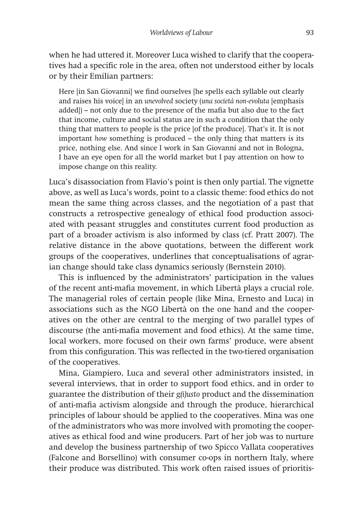when he had uttered it. Moreover Luca wished to clarify that the cooperatives had a specific role in the area, often not understood either by locals or by their Emilian partners:

Here [in San Giovanni] we find ourselves [he spells each syllable out clearly and raises his voice] in an *unevolved* society (*una società non-evoluta* [emphasis added]) – not only due to the presence of the mafia but also due to the fact that income, culture and social status are in such a condition that the only thing that matters to people is the price [of the produce]. That's it. It is not important *how* something is produced – the only thing that matters is its price, nothing else. And since I work in San Giovanni and not in Bologna, I have an eye open for all the world market but I pay attention on how to impose change on this reality.

Luca's disassociation from Flavio's point is then only partial. The vignette above, as well as Luca's words, point to a classic theme: food ethics do not mean the same thing across classes, and the negotiation of a past that constructs a retrospective genealogy of ethical food production associated with peasant struggles and constitutes current food production as part of a broader activism is also informed by class (cf. Pratt 2007). The relative distance in the above quotations, between the different work groups of the cooperatives, underlines that conceptualisations of agrarian change should take class dynamics seriously (Bernstein 2010).

This is influenced by the administrators' participation in the values of the recent anti-mafia movement, in which Libertà plays a crucial role. The managerial roles of certain people (like Mina, Ernesto and Luca) in associations such as the NGO Libertà on the one hand and the cooperatives on the other are central to the merging of two parallel types of discourse (the anti-mafia movement and food ethics). At the same time, local workers, more focused on their own farms' produce, were absent from this configuration. This was reflected in the two-tiered organisation of the cooperatives.

Mina, Giampiero, Luca and several other administrators insisted, in several interviews, that in order to support food ethics, and in order to guarantee the distribution of their *g(i)usto* product and the dissemination of anti-mafia activism alongside and through the produce, hierarchical principles of labour should be applied to the cooperatives. Mina was one of the administrators who was more involved with promoting the cooperatives as ethical food and wine producers. Part of her job was to nurture and develop the business partnership of two Spicco Vallata cooperatives (Falcone and Borsellino) with consumer co-ops in northern Italy, where their produce was distributed. This work often raised issues of prioritis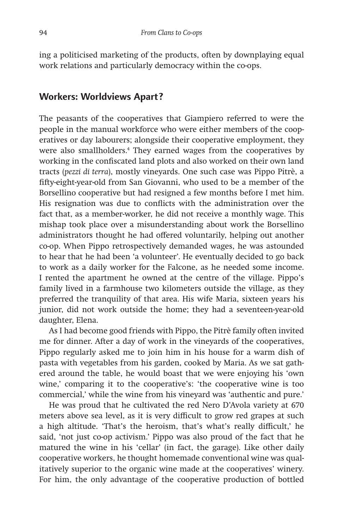ing a politicised marketing of the products, often by downplaying equal work relations and particularly democracy within the co-ops.

### **Workers: Worldviews Apart?**

The peasants of the cooperatives that Giampiero referred to were the people in the manual workforce who were either members of the cooperatives or day labourers; alongside their cooperative employment, they were also smallholders.<sup>4</sup> They earned wages from the cooperatives by working in the confiscated land plots and also worked on their own land tracts (*pezzi di terra*), mostly vineyards. One such case was Pippo Pitrè, a fifty-eight-year-old from San Giovanni, who used to be a member of the Borsellino cooperative but had resigned a few months before I met him. His resignation was due to conflicts with the administration over the fact that, as a member-worker, he did not receive a monthly wage. This mishap took place over a misunderstanding about work the Borsellino administrators thought he had offered voluntarily, helping out another co-op. When Pippo retrospectively demanded wages, he was astounded to hear that he had been 'a volunteer'. He eventually decided to go back to work as a daily worker for the Falcone, as he needed some income. I rented the apartment he owned at the centre of the village. Pippo's family lived in a farmhouse two kilometers outside the village, as they preferred the tranquility of that area. His wife Maria, sixteen years his junior, did not work outside the home; they had a seventeen-year-old daughter, Elena.

As I had become good friends with Pippo, the Pitrè family often invited me for dinner. After a day of work in the vineyards of the cooperatives, Pippo regularly asked me to join him in his house for a warm dish of pasta with vegetables from his garden, cooked by Maria. As we sat gathered around the table, he would boast that we were enjoying his 'own wine,' comparing it to the cooperative's: 'the cooperative wine is too commercial,' while the wine from his vineyard was 'authentic and pure.'

He was proud that he cultivated the red Nero D'Avola variety at 670 meters above sea level, as it is very difficult to grow red grapes at such a high altitude. 'That's the heroism, that's what's really difficult,' he said, 'not just co-op activism.' Pippo was also proud of the fact that he matured the wine in his 'cellar' (in fact, the garage). Like other daily cooperative workers, he thought homemade conventional wine was qualitatively superior to the organic wine made at the cooperatives' winery. For him, the only advantage of the cooperative production of bottled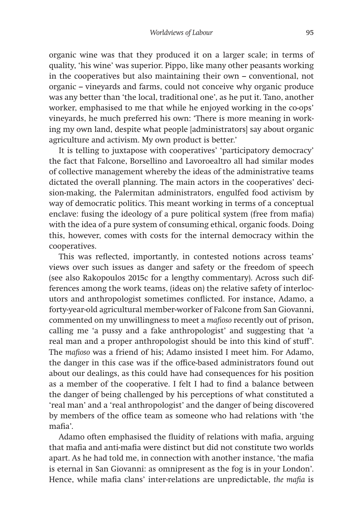organic wine was that they produced it on a larger scale; in terms of quality, 'his wine' was superior. Pippo, like many other peasants working in the cooperatives but also maintaining their own – conventional, not organic – vineyards and farms, could not conceive why organic produce was any better than 'the local, traditional one', as he put it. Tano, another worker, emphasised to me that while he enjoyed working in the co-ops' vineyards, he much preferred his own: 'There is more meaning in working my own land, despite what people [administrators] say about organic agriculture and activism. My own product is better.'

It is telling to juxtapose with cooperatives' 'participatory democracy' the fact that Falcone, Borsellino and Lavoroealtro all had similar modes of collective management whereby the ideas of the administrative teams dictated the overall planning. The main actors in the cooperatives' decision-making, the Palermitan administrators, engulfed food activism by way of democratic politics. This meant working in terms of a conceptual enclave: fusing the ideology of a pure political system (free from mafia) with the idea of a pure system of consuming ethical, organic foods. Doing this, however, comes with costs for the internal democracy within the cooperatives.

This was reflected, importantly, in contested notions across teams' views over such issues as danger and safety or the freedom of speech (see also Rakopoulos 2015c for a lengthy commentary). Across such differences among the work teams, (ideas on) the relative safety of interlocutors and anthropologist sometimes conflicted. For instance, Adamo, a forty-year-old agricultural member-worker of Falcone from San Giovanni, commented on my unwillingness to meet a *mafioso* recently out of prison, calling me 'a pussy and a fake anthropologist' and suggesting that 'a real man and a proper anthropologist should be into this kind of stuff'. The *mafioso* was a friend of his; Adamo insisted I meet him. For Adamo, the danger in this case was if the office-based administrators found out about our dealings, as this could have had consequences for his position as a member of the cooperative. I felt I had to find a balance between the danger of being challenged by his perceptions of what constituted a 'real man' and a 'real anthropologist' and the danger of being discovered by members of the office team as someone who had relations with 'the mafia'.

Adamo often emphasised the fluidity of relations with mafia, arguing that mafia and anti-mafia were distinct but did not constitute two worlds apart. As he had told me, in connection with another instance, 'the mafia is eternal in San Giovanni: as omnipresent as the fog is in your London'. Hence, while mafia clans' inter-relations are unpredictable, *the mafia* is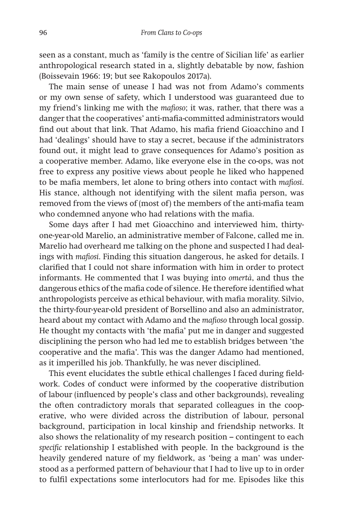seen as a constant, much as 'family is the centre of Sicilian life' as earlier anthropological research stated in a, slightly debatable by now, fashion (Boissevain 1966: 19; but see Rakopoulos 2017a).

The main sense of unease I had was not from Adamo's comments or my own sense of safety, which I understood was guaranteed due to my friend's linking me with the *mafioso*; it was, rather, that there was a danger that the cooperatives' anti-mafia-committed administrators would find out about that link. That Adamo, his mafia friend Gioacchino and I had 'dealings' should have to stay a secret, because if the administrators found out, it might lead to grave consequences for Adamo's position as a cooperative member. Adamo, like everyone else in the co-ops, was not free to express any positive views about people he liked who happened to be mafia members, let alone to bring others into contact with *mafiosi*. His stance, although not identifying with the silent mafia person, was removed from the views of (most of) the members of the anti-mafia team who condemned anyone who had relations with the mafia.

Some days after I had met Gioacchino and interviewed him, thirtyone-year-old Marelio, an administrative member of Falcone, called me in. Marelio had overheard me talking on the phone and suspected I had dealings with *mafiosi*. Finding this situation dangerous, he asked for details. I clarified that I could not share information with him in order to protect informants. He commented that I was buying into *omertà*, and thus the dangerous ethics of the mafia code of silence. He therefore identified what anthropologists perceive as ethical behaviour, with mafia morality. Silvio, the thirty-four-year-old president of Borsellino and also an administrator, heard about my contact with Adamo and the *mafioso* through local gossip. He thought my contacts with 'the mafia' put me in danger and suggested disciplining the person who had led me to establish bridges between 'the cooperative and the mafia'. This was the danger Adamo had mentioned, as it imperilled his job. Thankfully, he was never disciplined.

This event elucidates the subtle ethical challenges I faced during fieldwork. Codes of conduct were informed by the cooperative distribution of labour (influenced by people's class and other backgrounds), revealing the often contradictory morals that separated colleagues in the cooperative, who were divided across the distribution of labour, personal background, participation in local kinship and friendship networks. It also shows the relationality of my research position – contingent to each *specific* relationship I established with people. In the background is the heavily gendered nature of my fieldwork, as 'being a man' was understood as a performed pattern of behaviour that I had to live up to in order to fulfil expectations some interlocutors had for me. Episodes like this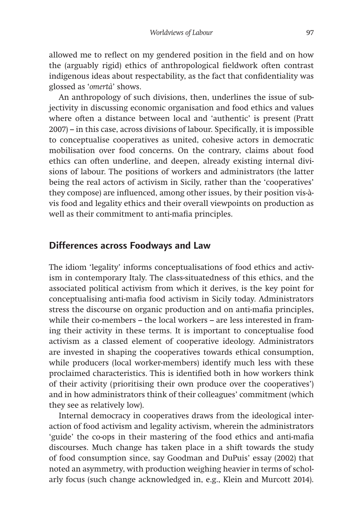allowed me to reflect on my gendered position in the field and on how the (arguably rigid) ethics of anthropological fieldwork often contrast indigenous ideas about respectability, as the fact that confidentiality was glossed as '*omertà*' shows.

An anthropology of such divisions, then, underlines the issue of subjectivity in discussing economic organisation and food ethics and values where often a distance between local and 'authentic' is present (Pratt 2007) – in this case, across divisions of labour. Specifically, it is impossible to conceptualise cooperatives as united, cohesive actors in democratic mobilisation over food concerns. On the contrary, claims about food ethics can often underline, and deepen, already existing internal divisions of labour. The positions of workers and administrators (the latter being the real actors of activism in Sicily, rather than the 'cooperatives' they compose) are influenced, among other issues, by their position vis-àvis food and legality ethics and their overall viewpoints on production as well as their commitment to anti-mafia principles.

### **Differences across Foodways and Law**

The idiom 'legality' informs conceptualisations of food ethics and activism in contemporary Italy. The class-situatedness of this ethics, and the associated political activism from which it derives, is the key point for conceptualising anti-mafia food activism in Sicily today. Administrators stress the discourse on organic production and on anti-mafia principles, while their co-members – the local workers – are less interested in framing their activity in these terms. It is important to conceptualise food activism as a classed element of cooperative ideology. Administrators are invested in shaping the cooperatives towards ethical consumption, while producers (local worker-members) identify much less with these proclaimed characteristics. This is identified both in how workers think of their activity (prioritising their own produce over the cooperatives') and in how administrators think of their colleagues' commitment (which they see as relatively low).

Internal democracy in cooperatives draws from the ideological interaction of food activism and legality activism, wherein the administrators 'guide' the co-ops in their mastering of the food ethics and anti-mafia discourses. Much change has taken place in a shift towards the study of food consumption since, say Goodman and DuPuis' essay (2002) that noted an asymmetry, with production weighing heavier in terms of scholarly focus (such change acknowledged in, e.g., Klein and Murcott 2014).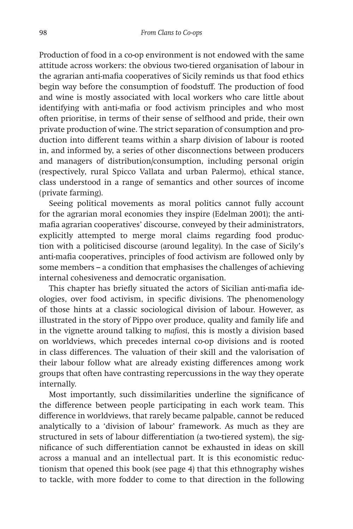Production of food in a co-op environment is not endowed with the same attitude across workers: the obvious two-tiered organisation of labour in the agrarian anti-mafia cooperatives of Sicily reminds us that food ethics begin way before the consumption of foodstuff. The production of food and wine is mostly associated with local workers who care little about identifying with anti-mafia or food activism principles and who most often prioritise, in terms of their sense of selfhood and pride, their own private production of wine. The strict separation of consumption and production into different teams within a sharp division of labour is rooted in, and informed by, a series of other disconnections between producers and managers of distribution/consumption, including personal origin (respectively, rural Spicco Vallata and urban Palermo), ethical stance, class understood in a range of semantics and other sources of income (private farming).

Seeing political movements as moral politics cannot fully account for the agrarian moral economies they inspire (Edelman 2001); the antimafia agrarian cooperatives' discourse, conveyed by their administrators, explicitly attempted to merge moral claims regarding food production with a politicised discourse (around legality). In the case of Sicily's anti-mafia cooperatives, principles of food activism are followed only by some members – a condition that emphasises the challenges of achieving internal cohesiveness and democratic organisation.

This chapter has briefly situated the actors of Sicilian anti-mafia ideologies, over food activism, in specific divisions. The phenomenology of those hints at a classic sociological division of labour. However, as illustrated in the story of Pippo over produce, quality and family life and in the vignette around talking to *mafiosi*, this is mostly a division based on worldviews, which precedes internal co-op divisions and is rooted in class differences. The valuation of their skill and the valorisation of their labour follow what are already existing differences among work groups that often have contrasting repercussions in the way they operate internally.

Most importantly, such dissimilarities underline the significance of the difference between people participating in each work team. This difference in worldviews, that rarely became palpable, cannot be reduced analytically to a 'division of labour' framework. As much as they are structured in sets of labour differentiation (a two-tiered system), the significance of such differentiation cannot be exhausted in ideas on skill across a manual and an intellectual part. It is this economistic reductionism that opened this book (see page 4) that this ethnography wishes to tackle, with more fodder to come to that direction in the following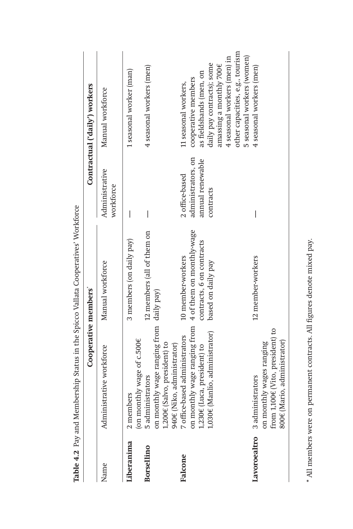|              | The contract of the community of the community of the community of the community of the community of the community of the community of the community of the community of the community of the community of the community of th |                            |                             |                                                             |
|--------------|--------------------------------------------------------------------------------------------------------------------------------------------------------------------------------------------------------------------------------|----------------------------|-----------------------------|-------------------------------------------------------------|
|              | Cooperative members                                                                                                                                                                                                            |                            |                             | Contractual ('daily') workers                               |
| Name         | Administrative workforce                                                                                                                                                                                                       | Manual workforce           | Administrative<br>workforce | Manual workforce                                            |
| Liberanima   | on monthly wage of c.500€<br>embers<br>$2 \text{ m}$                                                                                                                                                                           | 3 members (on daily pay)   | I                           | 1 seasonal worker (man)                                     |
| Borsellino   | 5 administrators                                                                                                                                                                                                               | 12 members (all of them on | I                           | 4 seasonal workers (men)                                    |
|              | nonthly wage ranging from<br>1,200€ (Salvo, president) to<br>940€ (Niko, administrator)<br>$\sin n$                                                                                                                            | daily pay)                 |                             |                                                             |
| Falcone      | 7 office-based administrators                                                                                                                                                                                                  | 10 member-workers          | 2 office-based              | 11 seasonal workers,                                        |
|              | on monthly wage ranging from                                                                                                                                                                                                   | 4 of them on monthly-wage  | administrators, on          | cooperative members                                         |
|              | 0€ (Luca, president) to<br>1,230                                                                                                                                                                                               | contracts, 6 on contracts  | annual renewable            | as fieldshands (men, on                                     |
|              | 0€ (Manlio, administrator)<br>1,03                                                                                                                                                                                             | based on daily pay         | contracts                   | daily pay contracts); some                                  |
|              |                                                                                                                                                                                                                                |                            |                             | 4 seasonal workers (men) in<br>amassing a monthly $700 \in$ |
|              |                                                                                                                                                                                                                                |                            |                             | other capacities, e.g., tourism                             |
|              |                                                                                                                                                                                                                                |                            |                             | 5 seasonal workers (women)                                  |
| Lavoroealtro | 3 administrators                                                                                                                                                                                                               | 12 member-workers          |                             | 4 seasonal workers (men)                                    |
|              | from 1,100€ (Vito, president) to<br>on monthly wages ranging                                                                                                                                                                   |                            |                             |                                                             |
|              | 800€ (Mario, administrator)                                                                                                                                                                                                    |                            |                             |                                                             |

**Table 4.2** Pay and Membership Status in the Spicco Vallata Cooperatives' Workforce **Table 4.2** Pay and Membership Status in the Spicco Vallata Cooperatives' Workforce

\* All members were on permanent contracts. All figures denote mixed pay. \* All members were on permanent contracts. All figures denote mixed pay.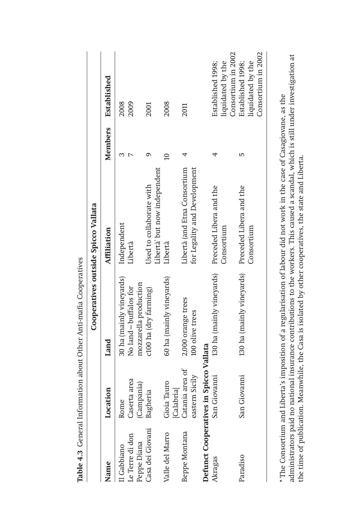|                      |                                        |                                                   | Cooperatives outside Spicco Vallata |         |                                         |
|----------------------|----------------------------------------|---------------------------------------------------|-------------------------------------|---------|-----------------------------------------|
| Name                 | Location                               | Land                                              | <b>Affiliation</b>                  | Members | Established                             |
| Cabbiano             | Rome                                   | 30 ha (mainly vineyards)                          | Independent                         |         | 2008                                    |
| e Terre di don       | Caserta area                           | No land - buffalos for                            | Libertà                             |         | 2009                                    |
| Peppe Diana          | (Campania)                             | mozzarella production                             |                                     |         |                                         |
| Casa dei Giovani     | Bagheria                               | c100 ha (dry farming)                             | Used to collaborate with            | σ       | 2001                                    |
|                      |                                        |                                                   | Libertà' but now independent        |         |                                         |
| Valle del Marro      | Gioia Tauro<br>Calabria                | 60 ha (mainly vineyards)                          | Libertà                             |         | 2008                                    |
| <b>Beppe Montana</b> | Catania area of                        | 2,000 orange trees                                | Libertà (and Etna Consortium        |         | 2011                                    |
|                      | eastern Sicily                         | 100 olive trees                                   | for Legality and Development        |         |                                         |
|                      | Defunct Cooperatives in Spicco Vallata |                                                   |                                     |         |                                         |
| Akragas              | San Giovanni                           | 130 ha (mainly vineyards) Preceded Libera and the |                                     |         | Established 1998;                       |
|                      |                                        |                                                   | Consortium                          |         | Consortium in 2002<br>liquidated by the |
| <b>Paradiso</b>      | San Giovanni                           | 130 ha (mainly vineyards) Preceded Libera and the | Consortium                          | 5       | Established 1998;<br>liquidated by the  |
|                      |                                        |                                                   |                                     |         | Consortium in 2002                      |
|                      |                                        |                                                   |                                     |         |                                         |

Table 4.3 General Information about Other Anti-mafia Cooperatives **Table 4.3** General Information about Other Anti-mafia Cooperatives

administrators paid no national insurance contributions to the workers. This caused a scandal, which is still under investigation at administrators paid no national insurance contributions to the workers. This caused a scandal, which is still under investigation at \* The Consortium and Liberta's imposition of a regularisation of labour did not work in the case of Casagiovane, as the \* The Consortium and Liberta's imposition of a regularisation of labour did not work in the case of Casagiovane, as the the time of publication. Meanwhile, the Casa is isolated by other cooperatives, the state and Liberta. the time of publication. Meanwhile, the Casa is isolated by other cooperatives, the state and Liberta.